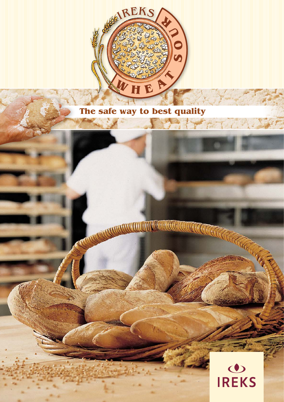

## **The safe way to best quality**